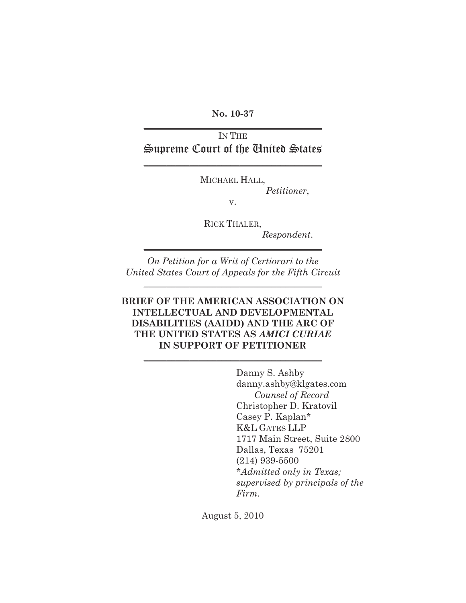**No. 10-37**  $\mathcal{L}_\text{max}$  , where  $\mathcal{L}_\text{max}$  and  $\mathcal{L}_\text{max}$ 

## IN THE Supreme Court of the United States

 $\overline{\phantom{a}}$  , and the set of the set of the set of the set of the set of the set of the set of the set of the set of the set of the set of the set of the set of the set of the set of the set of the set of the set of the s

MICHAEL HALL,

*Petitioner*,

v.

RICK THALER, *Respondent*.

*On Petition for a Writ of Certiorari to the United States Court of Appeals for the Fifth Circuit*

 $\overline{\phantom{a}}$  , where  $\overline{\phantom{a}}$  , where  $\overline{\phantom{a}}$  , where  $\overline{\phantom{a}}$  , where  $\overline{\phantom{a}}$ 

 $\overline{\phantom{a}}$  , and the set of the set of the set of the set of the set of the set of the set of the set of the set of the set of the set of the set of the set of the set of the set of the set of the set of the set of the s

## **BRIEF OF THE AMERICAN ASSOCIATION ON INTELLECTUAL AND DEVELOPMENTAL DISABILITIES (AAIDD) AND THE ARC OF THE UNITED STATES AS** *AMICI CURIAE* **IN SUPPORT OF PETITIONER**

 $\overline{\phantom{a}}$  , where  $\overline{\phantom{a}}$  , where  $\overline{\phantom{a}}$  , where  $\overline{\phantom{a}}$  , where  $\overline{\phantom{a}}$ 

Danny S. Ashby danny.ashby@klgates.com *Counsel of Record* Christopher D. Kratovil Casey P. Kaplan\* K&L GATES LLP 1717 Main Street, Suite 2800 Dallas, Texas 75201 (214) 939-5500 \**Admitted only in Texas; supervised by principals of the Firm.*

August 5, 2010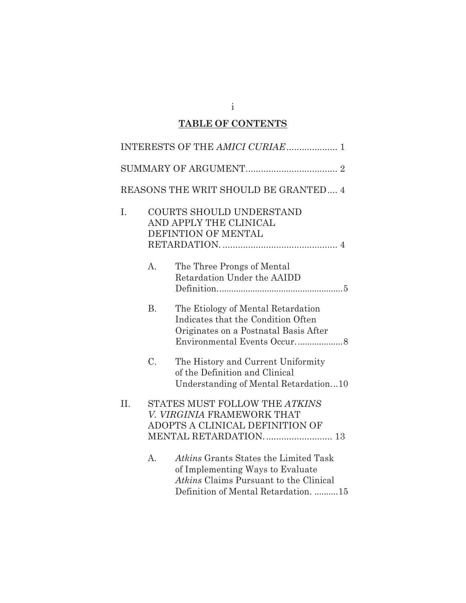# **TABLE OF CONTENTS**

|     |           | REASONS THE WRIT SHOULD BE GRANTED 4                                                                                                                               |
|-----|-----------|--------------------------------------------------------------------------------------------------------------------------------------------------------------------|
| I.  |           | <b>COURTS SHOULD UNDERSTAND</b><br>AND APPLY THE CLINICAL<br>DEFINTION OF MENTAL                                                                                   |
|     | A.        | The Three Prongs of Mental<br>Retardation Under the AAIDD                                                                                                          |
|     | <b>B.</b> | The Etiology of Mental Retardation<br>Indicates that the Condition Often<br>Originates on a Postnatal Basis After                                                  |
|     | C.        | The History and Current Uniformity<br>of the Definition and Clinical<br>Understanding of Mental Retardation10                                                      |
| II. |           | STATES MUST FOLLOW THE ATKINS<br>V. VIRGINIA FRAMEWORK THAT<br>ADOPTS A CLINICAL DEFINITION OF                                                                     |
|     | A.        | Atkins Grants States the Limited Task<br>of Implementing Ways to Evaluate<br><i>Atkins</i> Claims Pursuant to the Clinical<br>Definition of Mental Retardation. 15 |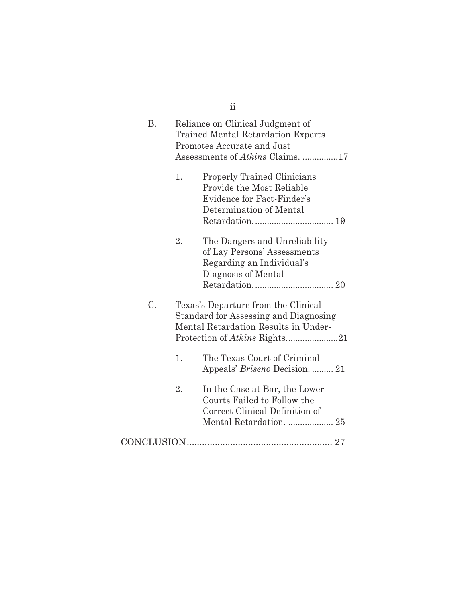|           |    | $\overline{\mathbf{u}}$                                                                                                                                |
|-----------|----|--------------------------------------------------------------------------------------------------------------------------------------------------------|
| <b>B.</b> |    | Reliance on Clinical Judgment of<br><b>Trained Mental Retardation Experts</b><br>Promotes Accurate and Just<br>Assessments of <i>Atkins</i> Claims. 17 |
|           | 1. | <b>Properly Trained Clinicians</b><br>Provide the Most Reliable<br>Evidence for Fact-Finder's<br>Determination of Mental                               |
|           | 2. | The Dangers and Unreliability<br>of Lay Persons' Assessments<br>Regarding an Individual's<br>Diagnosis of Mental                                       |
| C.        |    | Texas's Departure from the Clinical<br>Standard for Assessing and Diagnosing<br>Mental Retardation Results in Under-                                   |
|           | 1. | The Texas Court of Criminal<br>Appeals' Briseno Decision.  21                                                                                          |
|           | 2. | In the Case at Bar, the Lower<br>Courts Failed to Follow the<br>Correct Clinical Definition of<br>Mental Retardation.  25                              |
|           |    |                                                                                                                                                        |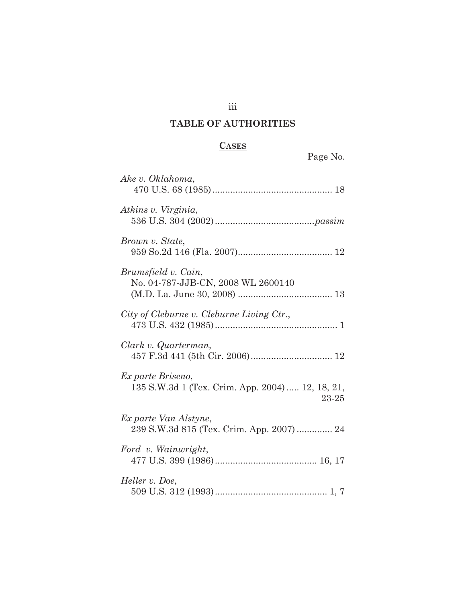## iii

# **TABLE OF AUTHORITIES**

## **CASES**

| Ake v. Oklahoma,                                                               |
|--------------------------------------------------------------------------------|
| Atkins v. Virginia,                                                            |
| Brown v. State,                                                                |
| Brumsfield v. Cain,<br>No. 04-787-JJB-CN, 2008 WL 2600140                      |
| City of Cleburne v. Cleburne Living Ctr.,                                      |
| Clark v. Quarterman,                                                           |
| Ex parte Briseno,<br>135 S.W.3d 1 (Tex. Crim. App. 2004)  12, 18, 21,<br>23-25 |
| Ex parte Van Alstyne,<br>239 S.W.3d 815 (Tex. Crim. App. 2007)  24             |
| Ford v. Wainwright,                                                            |
| Heller v. Doe,                                                                 |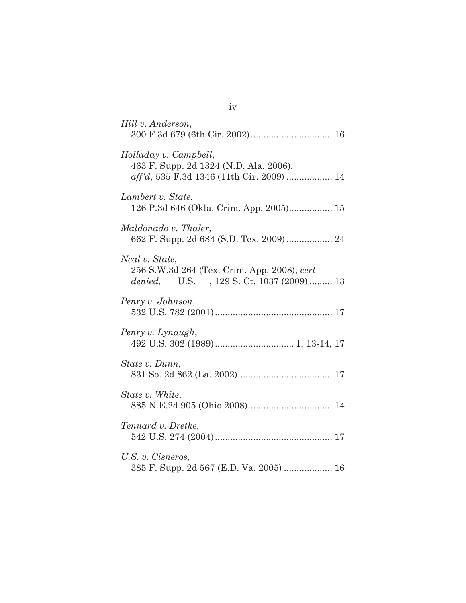| Hill v. Anderson,                                                                                             |
|---------------------------------------------------------------------------------------------------------------|
| Holladay v. Campbell,<br>463 F. Supp. 2d 1324 (N.D. Ala. 2006),<br>aff'd, 535 F.3d 1346 (11th Cir. 2009)  14  |
| Lambert v. State,<br>126 P.3d 646 (Okla. Crim. App. 2005) 15                                                  |
| Maldonado v. Thaler,<br>662 F. Supp. 2d 684 (S.D. Tex. 2009)  24                                              |
| Neal v. State,<br>256 S.W.3d 264 (Tex. Crim. App. 2008), cert<br>denied, __U.S.__, 129 S. Ct. 1037 (2009)  13 |
| Penry v. Johnson,                                                                                             |
| Penry v. Lynaugh,                                                                                             |
| State v. Dunn,                                                                                                |
| State v. White,                                                                                               |
| Tennard v. Dretke,                                                                                            |
| U.S. v. Cisneros,<br>385 F. Supp. 2d 567 (E.D. Va. 2005)  16                                                  |

iv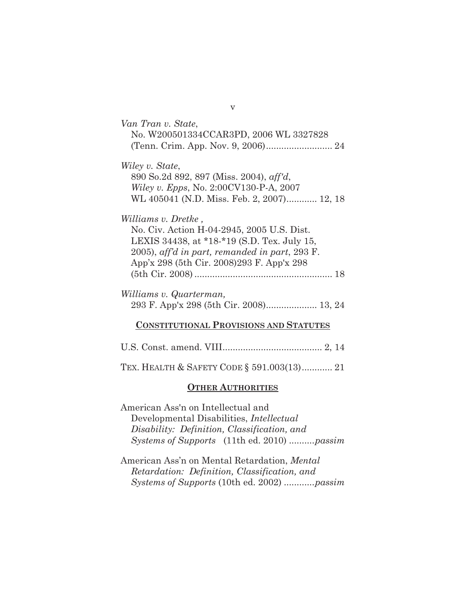| Van Tran v. State,<br>No. W200501334CCAR3PD, 2006 WL 3327828                                                                                                                                                                            |
|-----------------------------------------------------------------------------------------------------------------------------------------------------------------------------------------------------------------------------------------|
| Wiley v. State,<br>890 So.2d 892, 897 (Miss. 2004), aff'd,<br><i>Wiley v. Epps, No.</i> 2:00CV130-P-A, 2007<br>WL 405041 (N.D. Miss. Feb. 2, 2007) 12, 18                                                                               |
| <i>Williams v. Dretke</i> ,<br>No. Civ. Action H-04-2945, 2005 U.S. Dist.<br>LEXIS 34438, at *18-*19 (S.D. Tex. July 15,<br>$(2005)$ , aff'd in part, remanded in part, $293 \text{ F}$ .<br>App'x 298 (5th Cir. 2008) 293 F. App'x 298 |
| Williams v. Quarterman,                                                                                                                                                                                                                 |
| <b>CONSTITUTIONAL PROVISIONS AND STATUTES</b>                                                                                                                                                                                           |
| IIS Const amend VIII<br>2 14                                                                                                                                                                                                            |

TEX. HEALTH & SAFETY CODE § 591.003(13)............ 21

#### **OTHER AUTHORITIES**

American Ass'n on Intellectual and Developmental Disabilities, *Intellectual Disability: Definition, Classification, and Systems of Supports* (11th ed. 2010) ..........*passim*

American Ass'n on Mental Retardation, *Mental Retardation: Definition, Classification, and Systems of Supports* (10th ed. 2002) ............*passim*

v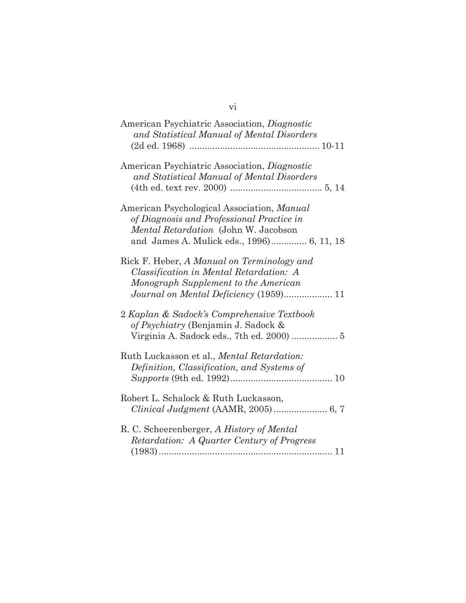# vi

| American Psychiatric Association, Diagnostic<br>and Statistical Manual of Mental Disorders                                                                                   |
|------------------------------------------------------------------------------------------------------------------------------------------------------------------------------|
|                                                                                                                                                                              |
| American Psychiatric Association, Diagnostic<br>and Statistical Manual of Mental Disorders                                                                                   |
| American Psychological Association, Manual<br>of Diagnosis and Professional Practice in<br>Mental Retardation (John W. Jacobson<br>and James A. Mulick eds., 1996) 6, 11, 18 |
| Rick F. Heber, A Manual on Terminology and<br>Classification in Mental Retardation: A<br>Monograph Supplement to the American                                                |
| 2 Kaplan & Sadock's Comprehensive Textbook<br>of Psychiatry (Benjamin J. Sadock &                                                                                            |
| Ruth Luckasson et al., Mental Retardation:<br>Definition, Classification, and Systems of                                                                                     |
| Robert L. Schalock & Ruth Luckasson,                                                                                                                                         |
| R. C. Scheerenberger, A History of Mental<br>Retardation: A Quarter Century of Progress                                                                                      |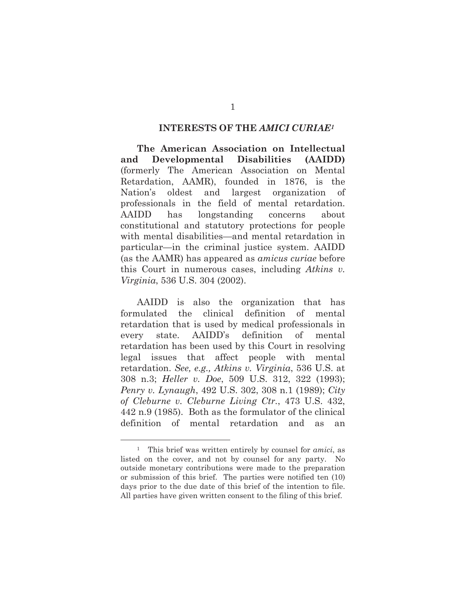#### **INTERESTS OF THE** *AMICI CURIAE<sup>1</sup>*

<span id="page-7-0"></span>**The American Association on Intellectual and Developmental Disabilities (AAIDD)** (formerly The American Association on Mental Retardation, AAMR), founded in 1876, is the Nation's oldest and largest organization of professionals in the field of mental retardation. AAIDD has longstanding concerns about constitutional and statutory protections for people with mental disabilities—and mental retardation in particular—in the criminal justice system. AAIDD (as the AAMR) has appeared as *amicus curiae* before this Court in numerous cases, including *Atkins v. Virginia*, 536 U.S. 304 (2002).

AAIDD is also the organization that has formulated the clinical definition of mental retardation that is used by medical professionals in every state. AAIDD's definition of mental retardation has been used by this Court in resolving legal issues that affect people with mental retardation. *See, e.g., Atkins v. Virginia*, 536 U.S. at 308 n.3; *Heller v. Doe*, 509 U.S. 312, 322 (1993); *Penry v. Lynaugh*, 492 U.S. 302, 308 n.1 (1989); *City of Cleburne v. Cleburne Living Ctr.*, 473 U.S. 432, 442 n.9 (1985). Both as the formulator of the clinical definition of mental retardation and as an

<sup>1</sup> This brief was written entirely by counsel for *amici*, as listed on the cover, and not by counsel for any party. No outside monetary contributions were made to the preparation or submission of this brief. The parties were notified ten (10) days prior to the due date of this brief of the intention to file. All parties have given written consent to the filing of this brief.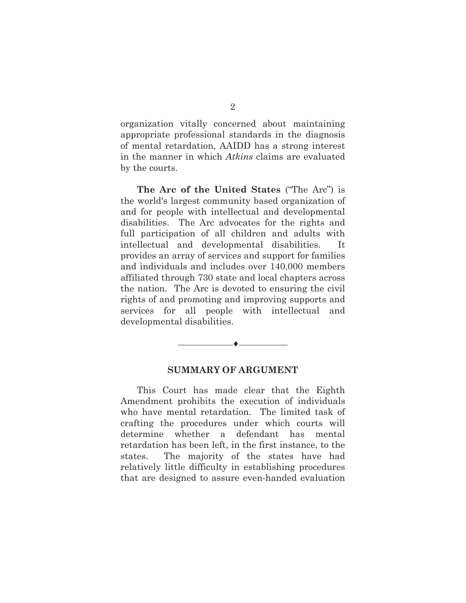organization vitally concerned about maintaining appropriate professional standards in the diagnosis of mental retardation, AAIDD has a strong interest in the manner in which *Atkins* claims are evaluated by the courts.

**The Arc of the United States** ("The Arc") is the world's largest community based organization of and for people with intellectual and developmental disabilities. The Arc advocates for the rights and full participation of all children and adults with intellectual and developmental disabilities. It provides an array of services and support for families and individuals and includes over 140,000 members affiliated through 730 state and local chapters across the nation. The Arc is devoted to ensuring the civil rights of and promoting and improving supports and services for all people with intellectual and developmental disabilities.

#### **SUMMARY OF ARGUMENT**

<span id="page-8-0"></span>♦

This Court has made clear that the Eighth Amendment prohibits the execution of individuals who have mental retardation. The limited task of crafting the procedures under which courts will determine whether a defendant has mental retardation has been left, in the first instance, to the states. The majority of the states have had relatively little difficulty in establishing procedures that are designed to assure even-handed evaluation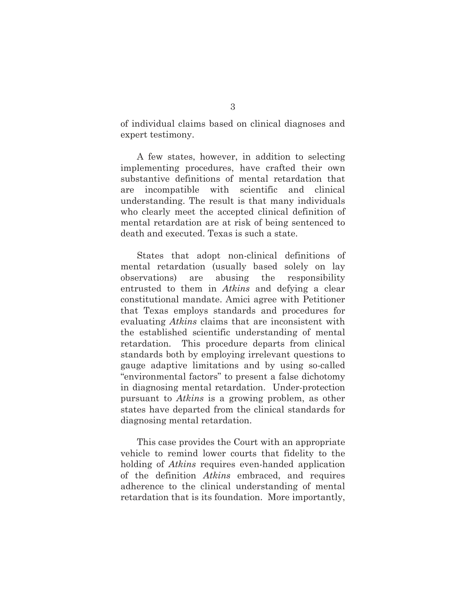of individual claims based on clinical diagnoses and expert testimony.

A few states, however, in addition to selecting implementing procedures, have crafted their own substantive definitions of mental retardation that are incompatible with scientific and clinical understanding. The result is that many individuals who clearly meet the accepted clinical definition of mental retardation are at risk of being sentenced to death and executed. Texas is such a state.

States that adopt non-clinical definitions of mental retardation (usually based solely on lay observations) are abusing the responsibility entrusted to them in *Atkins* and defying a clear constitutional mandate. Amici agree with Petitioner that Texas employs standards and procedures for evaluating *Atkins* claims that are inconsistent with the established scientific understanding of mental retardation. This procedure departs from clinical standards both by employing irrelevant questions to gauge adaptive limitations and by using so-called "environmental factors" to present a false dichotomy in diagnosing mental retardation. Under-protection pursuant to *Atkins* is a growing problem, as other states have departed from the clinical standards for diagnosing mental retardation.

This case provides the Court with an appropriate vehicle to remind lower courts that fidelity to the holding of *Atkins* requires even-handed application of the definition *Atkins* embraced, and requires adherence to the clinical understanding of mental retardation that is its foundation. More importantly,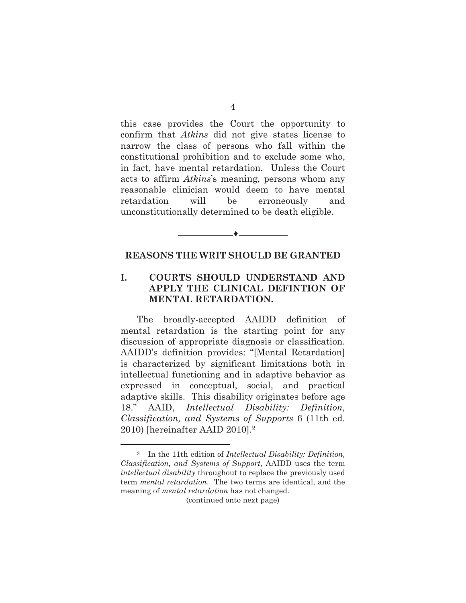this case provides the Court the opportunity to confirm that *Atkins* did not give states license to narrow the class of persons who fall within the constitutional prohibition and to exclude some who, in fact, have mental retardation. Unless the Court acts to affirm *Atkins*'s meaning, persons whom any reasonable clinician would deem to have mental retardation will be erroneously and unconstitutionally determined to be death eligible.

#### **REASONS THE WRIT SHOULD BE GRANTED**

<span id="page-10-0"></span>♦

## **I. COURTS SHOULD UNDERSTAND AND APPLY THE CLINICAL DEFINTION OF MENTAL RETARDATION.**

The broadly-accepted AAIDD definition of mental retardation is the starting point for any discussion of appropriate diagnosis or classification. AAIDD's definition provides: "[Mental Retardation] is characterized by significant limitations both in intellectual functioning and in adaptive behavior as expressed in conceptual, social, and practical adaptive skills. This disability originates before age 18." AAID, *Intellectual Disability: Definition, Classification, and Systems of Supports* 6 (11th ed. 2010) [hereinafter AAID 2010].<sup>2</sup>

<sup>2</sup> In the 11th edition of *Intellectual Disability: Definition, Classification, and Systems of Support*, AAIDD uses the term *intellectual disability* throughout to replace the previously used term *mental retardation*. The two terms are identical, and the meaning of *mental retardation* has not changed.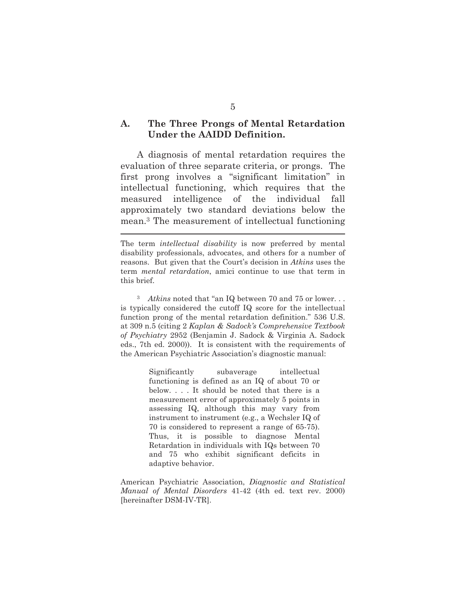#### **A. The Three Prongs of Mental Retardation Under the AAIDD Definition.**

A diagnosis of mental retardation requires the evaluation of three separate criteria, or prongs. The first prong involves a "significant limitation" in intellectual functioning, which requires that the measured intelligence of the individual fall approximately two standard deviations below the mean.<sup>3</sup> The measurement of intellectual functioning

Significantly subaverage intellectual functioning is defined as an IQ of about 70 or below. . . . It should be noted that there is a measurement error of approximately 5 points in assessing IQ, although this may vary from instrument to instrument (e.g., a Wechsler IQ of 70 is considered to represent a range of 65-75). Thus, it is possible to diagnose Mental Retardation in individuals with IQs between 70 and 75 who exhibit significant deficits in adaptive behavior.

American Psychiatric Association, *Diagnostic and Statistical Manual of Mental Disorders* 41-42 (4th ed. text rev. 2000) [hereinafter DSM-IV-TR].

The term *intellectual disability* is now preferred by mental disability professionals, advocates, and others for a number of reasons. But given that the Court's decision in *Atkins* uses the term *mental retardation*, amici continue to use that term in this brief.

<sup>3</sup> *Atkins* noted that "an IQ between 70 and 75 or lower. . . is typically considered the cutoff IQ score for the intellectual function prong of the mental retardation definition." 536 U.S. at 309 n.5 (citing 2 *Kaplan & Sadock's Comprehensive Textbook of Psychiatry* 2952 (Benjamin J. Sadock & Virginia A. Sadock eds., 7th ed. 2000)). It is consistent with the requirements of the American Psychiatric Association's diagnostic manual: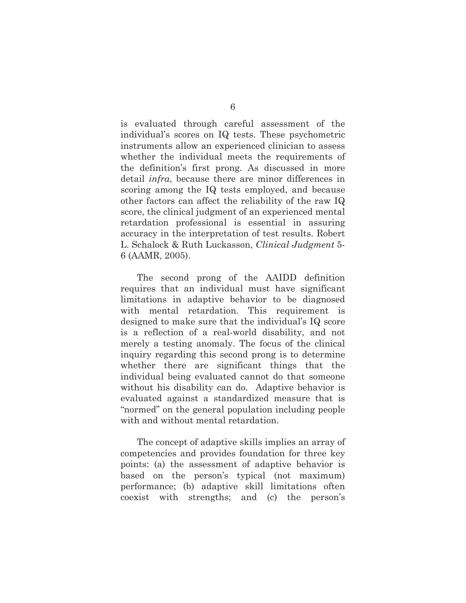is evaluated through careful assessment of the individual's scores on IQ tests. These psychometric instruments allow an experienced clinician to assess whether the individual meets the requirements of the definition's first prong. As discussed in more detail *infra*, because there are minor differences in scoring among the IQ tests employed, and because other factors can affect the reliability of the raw IQ score, the clinical judgment of an experienced mental retardation professional is essential in assuring accuracy in the interpretation of test results. Robert L. Schalock & Ruth Luckasson, *Clinical Judgment* 5- 6 (AAMR, 2005).

The second prong of the AAIDD definition requires that an individual must have significant limitations in adaptive behavior to be diagnosed with mental retardation. This requirement is designed to make sure that the individual's IQ score is a reflection of a real-world disability, and not merely a testing anomaly. The focus of the clinical inquiry regarding this second prong is to determine whether there are significant things that the individual being evaluated cannot do that someone without his disability can do. Adaptive behavior is evaluated against a standardized measure that is "normed" on the general population including people with and without mental retardation.

The concept of adaptive skills implies an array of competencies and provides foundation for three key points: (a) the assessment of adaptive behavior is based on the person's typical (not maximum) performance; (b) adaptive skill limitations often coexist with strengths; and (c) the person's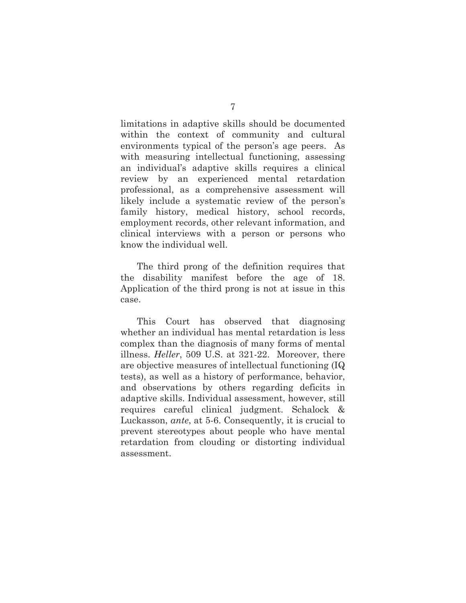limitations in adaptive skills should be documented within the context of community and cultural environments typical of the person's age peers. As with measuring intellectual functioning, assessing an individual's adaptive skills requires a clinical review by an experienced mental retardation professional, as a comprehensive assessment will likely include a systematic review of the person's family history, medical history, school records, employment records, other relevant information, and clinical interviews with a person or persons who know the individual well.

The third prong of the definition requires that the disability manifest before the age of 18. Application of the third prong is not at issue in this case.

This Court has observed that diagnosing whether an individual has mental retardation is less complex than the diagnosis of many forms of mental illness. *Heller*, 509 U.S. at 321-22. Moreover, there are objective measures of intellectual functioning (IQ tests), as well as a history of performance, behavior, and observations by others regarding deficits in adaptive skills. Individual assessment, however, still requires careful clinical judgment. Schalock & Luckasson, *ante*, at 5-6. Consequently, it is crucial to prevent stereotypes about people who have mental retardation from clouding or distorting individual assessment.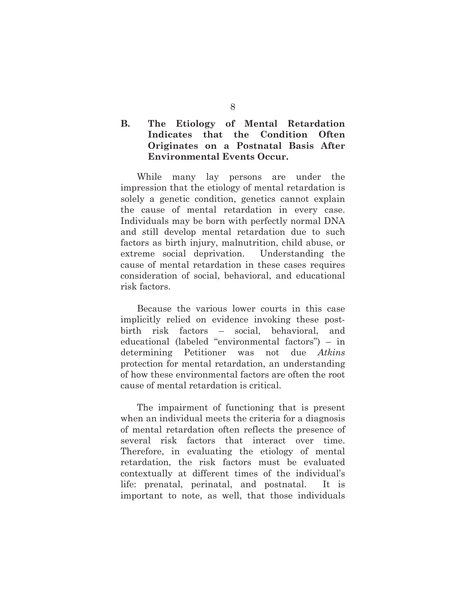## **B. The Etiology of Mental Retardation Indicates that the Condition Often Originates on a Postnatal Basis After Environmental Events Occur.**

While many lay persons are under the impression that the etiology of mental retardation is solely a genetic condition, genetics cannot explain the cause of mental retardation in every case. Individuals may be born with perfectly normal DNA and still develop mental retardation due to such factors as birth injury, malnutrition, child abuse, or extreme social deprivation. Understanding the cause of mental retardation in these cases requires consideration of social, behavioral, and educational risk factors.

Because the various lower courts in this case implicitly relied on evidence invoking these postbirth risk factors – social, behavioral, and educational (labeled "environmental factors") – in determining Petitioner was not due *Atkins* protection for mental retardation, an understanding of how these environmental factors are often the root cause of mental retardation is critical.

The impairment of functioning that is present when an individual meets the criteria for a diagnosis of mental retardation often reflects the presence of several risk factors that interact over time. Therefore, in evaluating the etiology of mental retardation, the risk factors must be evaluated contextually at different times of the individual's life: prenatal, perinatal, and postnatal. It is important to note, as well, that those individuals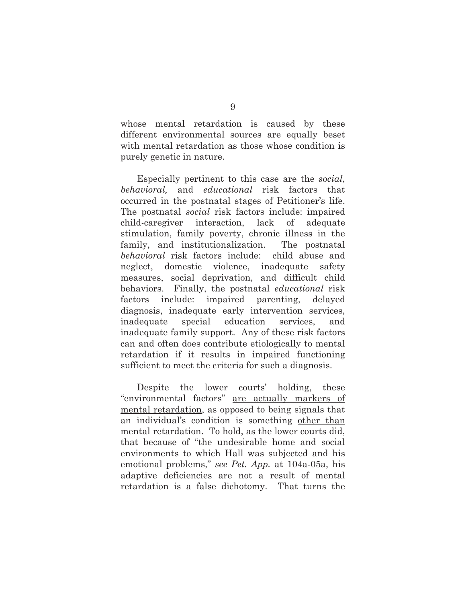whose mental retardation is caused by these different environmental sources are equally beset with mental retardation as those whose condition is purely genetic in nature.

Especially pertinent to this case are the *social*, *behavioral,* and *educational* risk factors that occurred in the postnatal stages of Petitioner's life. The postnatal *social* risk factors include: impaired child-caregiver interaction, lack of adequate stimulation, family poverty, chronic illness in the family, and institutionalization. The postnatal *behavioral* risk factors include: child abuse and neglect, domestic violence, inadequate safety measures, social deprivation, and difficult child behaviors. Finally, the postnatal *educational* risk factors include: impaired parenting, delayed diagnosis, inadequate early intervention services, inadequate special education services, and inadequate family support. Any of these risk factors can and often does contribute etiologically to mental retardation if it results in impaired functioning sufficient to meet the criteria for such a diagnosis.

Despite the lower courts' holding, these "environmental factors" are actually markers of mental retardation, as opposed to being signals that an individual's condition is something other than mental retardation. To hold, as the lower courts did, that because of "the undesirable home and social environments to which Hall was subjected and his emotional problems," *see Pet. App.* at 104a-05a, his adaptive deficiencies are not a result of mental retardation is a false dichotomy. That turns the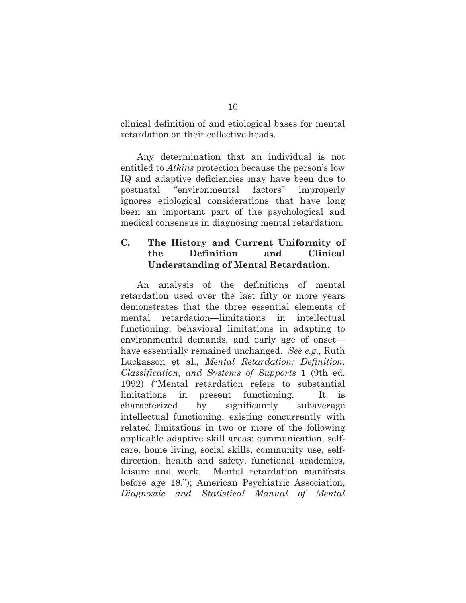clinical definition of and etiological bases for mental retardation on their collective heads.

Any determination that an individual is not entitled to *Atkins* protection because the person's low IQ and adaptive deficiencies may have been due to postnatal "environmental factors" improperly ignores etiological considerations that have long been an important part of the psychological and medical consensus in diagnosing mental retardation.

## <span id="page-16-0"></span>**C. The History and Current Uniformity of the Definition and Clinical Understanding of Mental Retardation.**

An analysis of the definitions of mental retardation used over the last fifty or more years demonstrates that the three essential elements of mental retardation—limitations in intellectual functioning, behavioral limitations in adapting to environmental demands, and early age of onset have essentially remained unchanged. *See e.g.,* Ruth Luckasson et al., *Mental Retardation: Definition, Classification, and Systems of Supports* 1 (9th ed. 1992) ("Mental retardation refers to substantial limitations in present functioning. It is characterized by significantly subaverage intellectual functioning, existing concurrently with related limitations in two or more of the following applicable adaptive skill areas: communication, selfcare, home living, social skills, community use, selfdirection, health and safety, functional academics, leisure and work. Mental retardation manifests before age 18."); American Psychiatric Association, *Diagnostic and Statistical Manual of Mental*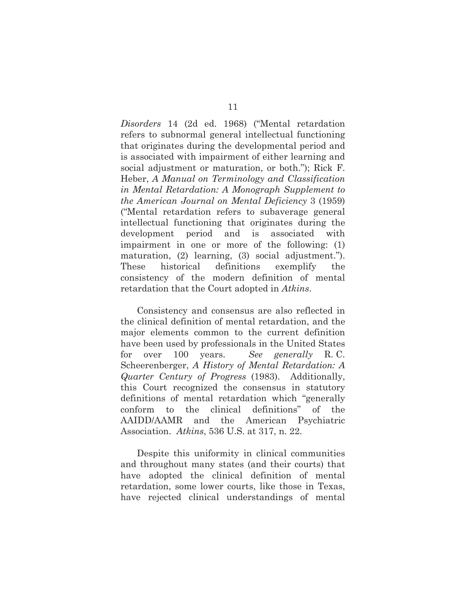*Disorders* 14 (2d ed. 1968) ("Mental retardation refers to subnormal general intellectual functioning that originates during the developmental period and is associated with impairment of either learning and social adjustment or maturation, or both."); Rick F. Heber, *A Manual on Terminology and Classification in Mental Retardation: A Monograph Supplement to the American Journal on Mental Deficiency* 3 (1959) ("Mental retardation refers to subaverage general intellectual functioning that originates during the development period and is associated with impairment in one or more of the following: (1) maturation, (2) learning, (3) social adjustment."). These historical definitions exemplify the consistency of the modern definition of mental retardation that the Court adopted in *Atkins*.

Consistency and consensus are also reflected in the clinical definition of mental retardation, and the major elements common to the current definition have been used by professionals in the United States for over 100 years. *See generally* R. C. Scheerenberger, *A History of Mental Retardation: A Quarter Century of Progress* (1983). Additionally, this Court recognized the consensus in statutory definitions of mental retardation which "generally conform to the clinical definitions" of the AAIDD/AAMR and the American Psychiatric Association. *Atkins*, 536 U.S. at 317, n. 22.

Despite this uniformity in clinical communities and throughout many states (and their courts) that have adopted the clinical definition of mental retardation, some lower courts, like those in Texas, have rejected clinical understandings of mental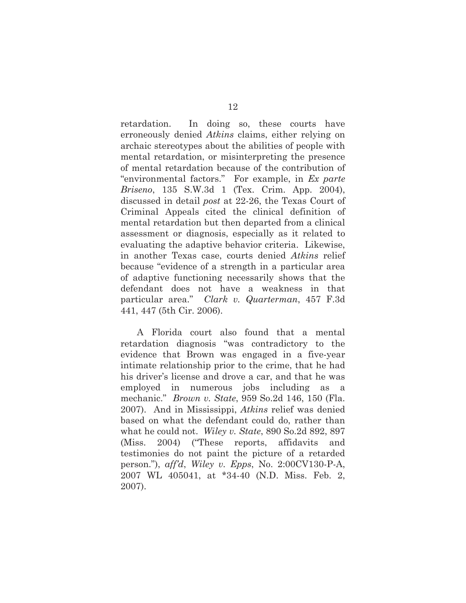retardation. In doing so, these courts have erroneously denied *Atkins* claims, either relying on archaic stereotypes about the abilities of people with mental retardation, or misinterpreting the presence of mental retardation because of the contribution of "environmental factors." For example, in *Ex parte Briseno*, 135 S.W.3d 1 (Tex. Crim. App. 2004), discussed in detail *post* at 22-26, the Texas Court of Criminal Appeals cited the clinical definition of mental retardation but then departed from a clinical assessment or diagnosis, especially as it related to evaluating the adaptive behavior criteria. Likewise, in another Texas case, courts denied *Atkins* relief because "evidence of a strength in a particular area of adaptive functioning necessarily shows that the defendant does not have a weakness in that particular area." *Clark v. Quarterman*, 457 F.3d 441, 447 (5th Cir. 2006).

A Florida court also found that a mental retardation diagnosis "was contradictory to the evidence that Brown was engaged in a five-year intimate relationship prior to the crime, that he had his driver's license and drove a car, and that he was employed in numerous jobs including as a mechanic." *Brown v. State*, 959 So.2d 146, 150 (Fla. 2007). And in Mississippi, *Atkins* relief was denied based on what the defendant could do, rather than what he could not. *Wiley v. State*, 890 So.2d 892, 897 (Miss. 2004) ("These reports, affidavits and testimonies do not paint the picture of a retarded person."), *aff'd*, *Wiley v. Epps*, No. 2:00CV130-P-A, 2007 WL 405041, at \*34-40 (N.D. Miss. Feb. 2, 2007).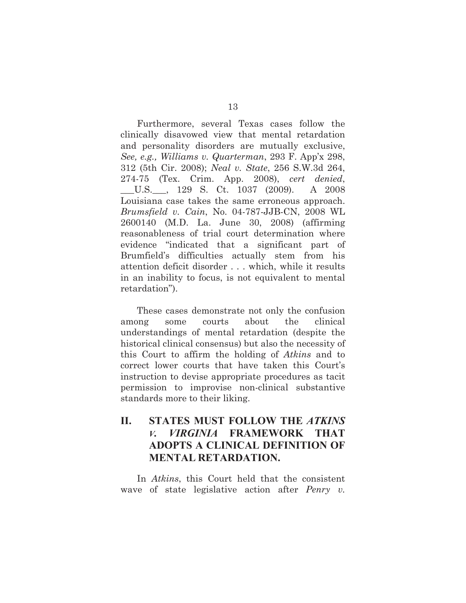Furthermore, several Texas cases follow the clinically disavowed view that mental retardation and personality disorders are mutually exclusive, *See, e.g., Williams v. Quarterman*, 293 F. App'x 298, 312 (5th Cir. 2008); *Neal v. State*, 256 S.W.3d 264, 274-75 (Tex. Crim. App. 2008), *cert denied*, \_\_\_U.S.\_\_\_, 129 S. Ct. 1037 (2009). A 2008 Louisiana case takes the same erroneous approach. *Brumsfield v. Cain*, No. 04-787-JJB-CN, 2008 WL 2600140 (M.D. La. June 30, 2008) (affirming reasonableness of trial court determination where evidence "indicated that a significant part of Brumfield's difficulties actually stem from his attention deficit disorder . . . which, while it results in an inability to focus, is not equivalent to mental retardation").

These cases demonstrate not only the confusion among some courts about the clinical understandings of mental retardation (despite the historical clinical consensus) but also the necessity of this Court to affirm the holding of *Atkins* and to correct lower courts that have taken this Court's instruction to devise appropriate procedures as tacit permission to improvise non-clinical substantive standards more to their liking.

## <span id="page-19-0"></span>**II. STATES MUST FOLLOW THE** *ATKINS V. VIRGINIA* **FRAMEWORK THAT ADOPTS A CLINICAL DEFINITION OF MENTAL RETARDATION.**

In *Atkins*, this Court held that the consistent wave of state legislative action after *Penry v.*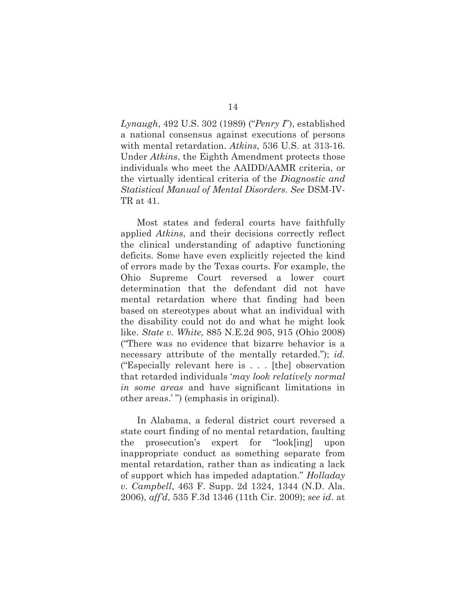*Lynaugh*, 492 U.S. 302 (1989) ("*Penry I*"), established a national consensus against executions of persons with mental retardation. *Atkins*, 536 U.S. at 313-16. Under *Atkins*, the Eighth Amendment protects those individuals who meet the AAIDD/AAMR criteria, or the virtually identical criteria of the *Diagnostic and Statistical Manual of Mental Disorders*. *See* DSM-IV-TR at 41.

Most states and federal courts have faithfully applied *Atkins*, and their decisions correctly reflect the clinical understanding of adaptive functioning deficits. Some have even explicitly rejected the kind of errors made by the Texas courts. For example, the Ohio Supreme Court reversed a lower court determination that the defendant did not have mental retardation where that finding had been based on stereotypes about what an individual with the disability could not do and what he might look like. *State v. White*, 885 N.E.2d 905, 915 (Ohio 2008) ("There was no evidence that bizarre behavior is a necessary attribute of the mentally retarded."); *id.*  ("Especially relevant here is . . . [the] observation that retarded individuals '*may look relatively normal in some areas* and have significant limitations in other areas.' ") (emphasis in original).

In Alabama, a federal district court reversed a state court finding of no mental retardation, faulting the prosecution's expert for "look[ing] upon inappropriate conduct as something separate from mental retardation, rather than as indicating a lack of support which has impeded adaptation." *Holladay v. Campbell*, 463 F. Supp. 2d 1324, 1344 (N.D. Ala. 2006), *aff'd*, 535 F.3d 1346 (11th Cir. 2009); *see id*. at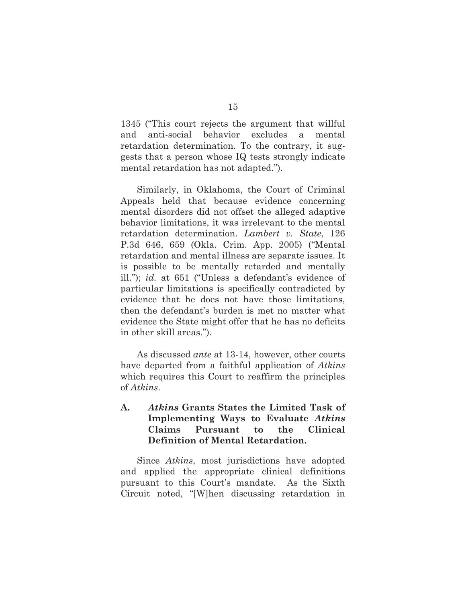1345 ("This court rejects the argument that willful and anti-social behavior excludes a mental retardation determination. To the contrary, it suggests that a person whose IQ tests strongly indicate mental retardation has not adapted.").

Similarly, in Oklahoma, the Court of Criminal Appeals held that because evidence concerning mental disorders did not offset the alleged adaptive behavior limitations, it was irrelevant to the mental retardation determination. *Lambert v. State*, 126 P.3d 646, 659 (Okla. Crim. App. 2005) ("Mental retardation and mental illness are separate issues. It is possible to be mentally retarded and mentally ill."); *id.* at 651 ("Unless a defendant's evidence of particular limitations is specifically contradicted by evidence that he does not have those limitations, then the defendant's burden is met no matter what evidence the State might offer that he has no deficits in other skill areas.").

As discussed *ante* at 13-14, however, other courts have departed from a faithful application of *Atkins* which requires this Court to reaffirm the principles of *Atkins*.

## **A.** *Atkins* **Grants States the Limited Task of Implementing Ways to Evaluate** *Atkins* **Claims Pursuant to the Clinical Definition of Mental Retardation.**

Since *Atkins*, most jurisdictions have adopted and applied the appropriate clinical definitions pursuant to this Court's mandate. As the Sixth Circuit noted, "[W]hen discussing retardation in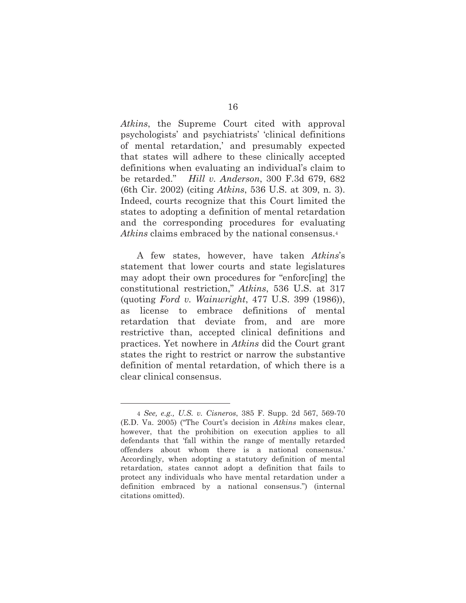*Atkins*, the Supreme Court cited with approval psychologists' and psychiatrists' 'clinical definitions of mental retardation,' and presumably expected that states will adhere to these clinically accepted definitions when evaluating an individual's claim to be retarded." *Hill v. Anderson*, 300 F.3d 679, 682 (6th Cir. 2002) (citing *Atkins*, 536 U.S. at 309, n. 3). Indeed, courts recognize that this Court limited the states to adopting a definition of mental retardation and the corresponding procedures for evaluating *Atkins* claims embraced by the national consensus.<sup>4</sup>

A few states, however, have taken *Atkins*'s statement that lower courts and state legislatures may adopt their own procedures for "enforc[ing] the constitutional restriction," *Atkins*, 536 U.S. at 317 (quoting *Ford v. Wainwright*, 477 U.S. 399 (1986)), as license to embrace definitions of mental retardation that deviate from, and are more restrictive than, accepted clinical definitions and practices. Yet nowhere in *Atkins* did the Court grant states the right to restrict or narrow the substantive definition of mental retardation, of which there is a clear clinical consensus.

<sup>4</sup> *See, e.g., U.S. v. Cisneros*, 385 F. Supp. 2d 567, 569-70 (E.D. Va. 2005) ("The Court's decision in *Atkins* makes clear, however, that the prohibition on execution applies to all defendants that 'fall within the range of mentally retarded offenders about whom there is a national consensus.' Accordingly, when adopting a statutory definition of mental retardation, states cannot adopt a definition that fails to protect any individuals who have mental retardation under a definition embraced by a national consensus.") (internal citations omitted).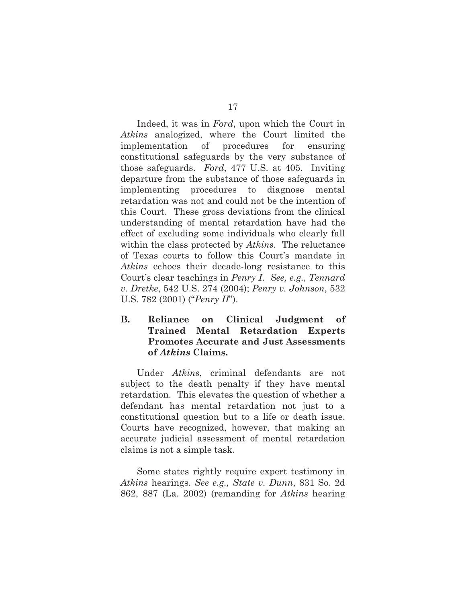Indeed, it was in *Ford*, upon which the Court in *Atkins* analogized, where the Court limited the implementation of procedures for ensuring constitutional safeguards by the very substance of those safeguards. *Ford*, 477 U.S. at 405. Inviting departure from the substance of those safeguards in implementing procedures to diagnose mental retardation was not and could not be the intention of this Court. These gross deviations from the clinical understanding of mental retardation have had the effect of excluding some individuals who clearly fall within the class protected by *Atkins*. The reluctance of Texas courts to follow this Court's mandate in *Atkins* echoes their decade-long resistance to this Court's clear teachings in *Penry I*. *See, e.g.*, *Tennard v. Dretke*, 542 U.S. 274 (2004); *Penry v. Johnson*, 532 U.S. 782 (2001) ("*Penry II*").

## **B. Reliance on Clinical Judgment of Trained Mental Retardation Experts Promotes Accurate and Just Assessments of** *Atkins* **Claims.**

Under *Atkins*, criminal defendants are not subject to the death penalty if they have mental retardation. This elevates the question of whether a defendant has mental retardation not just to a constitutional question but to a life or death issue. Courts have recognized, however, that making an accurate judicial assessment of mental retardation claims is not a simple task.

Some states rightly require expert testimony in *Atkins* hearings. *See e.g., State v. Dunn*, 831 So. 2d 862, 887 (La. 2002) (remanding for *Atkins* hearing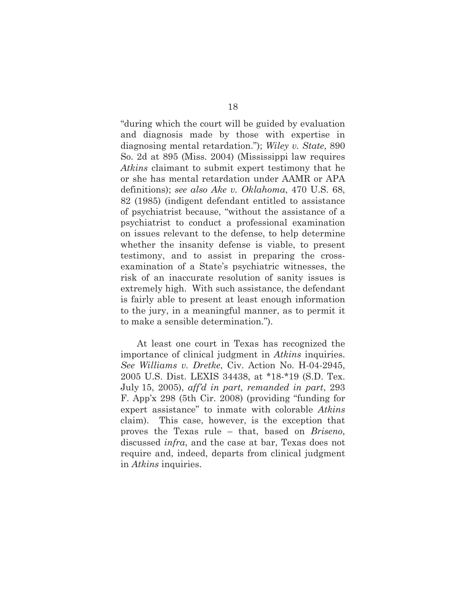"during which the court will be guided by evaluation and diagnosis made by those with expertise in diagnosing mental retardation."); *Wiley v. State*, 890 So. 2d at 895 (Miss. 2004) (Mississippi law requires *Atkins* claimant to submit expert testimony that he or she has mental retardation under AAMR or APA definitions); *see also Ake v. Oklahoma*, 470 U.S. 68, 82 (1985) (indigent defendant entitled to assistance of psychiatrist because, "without the assistance of a psychiatrist to conduct a professional examination on issues relevant to the defense, to help determine whether the insanity defense is viable, to present testimony, and to assist in preparing the crossexamination of a State's psychiatric witnesses, the risk of an inaccurate resolution of sanity issues is extremely high. With such assistance, the defendant is fairly able to present at least enough information to the jury, in a meaningful manner, as to permit it to make a sensible determination.").

At least one court in Texas has recognized the importance of clinical judgment in *Atkins* inquiries. *See Williams v. Dretke*, Civ. Action No. H-04-2945, 2005 U.S. Dist. LEXIS 34438, at \*18-\*19 (S.D. Tex. July 15, 2005), *aff'd in part, remanded in part*, 293 F. App'x 298 (5th Cir. 2008) (providing "funding for expert assistance" to inmate with colorable *Atkins* claim). This case, however, is the exception that proves the Texas rule – that, based on *Briseno*, discussed *infra*, and the case at bar, Texas does not require and, indeed, departs from clinical judgment in *Atkins* inquiries.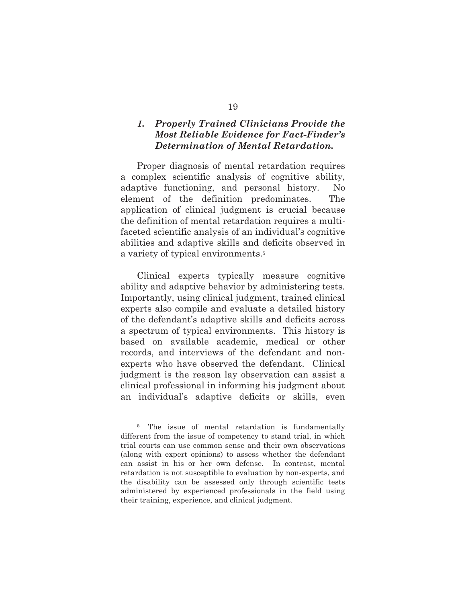## *1. Properly Trained Clinicians Provide the Most Reliable Evidence for Fact-Finder's Determination of Mental Retardation.*

Proper diagnosis of mental retardation requires a complex scientific analysis of cognitive ability, adaptive functioning, and personal history. No element of the definition predominates. The application of clinical judgment is crucial because the definition of mental retardation requires a multifaceted scientific analysis of an individual's cognitive abilities and adaptive skills and deficits observed in a variety of typical environments.<sup>5</sup>

Clinical experts typically measure cognitive ability and adaptive behavior by administering tests. Importantly, using clinical judgment, trained clinical experts also compile and evaluate a detailed history of the defendant's adaptive skills and deficits across a spectrum of typical environments. This history is based on available academic, medical or other records, and interviews of the defendant and nonexperts who have observed the defendant. Clinical judgment is the reason lay observation can assist a clinical professional in informing his judgment about an individual's adaptive deficits or skills, even

<span id="page-25-0"></span><sup>&</sup>lt;sup>5</sup> The issue of mental retardation is fundamentally different from the issue of competency to stand trial, in which trial courts can use common sense and their own observations (along with expert opinions) to assess whether the defendant can assist in his or her own defense. In contrast, mental retardation is not susceptible to evaluation by non-experts, and the disability can be assessed only through scientific tests administered by experienced professionals in the field using their training, experience, and clinical judgment.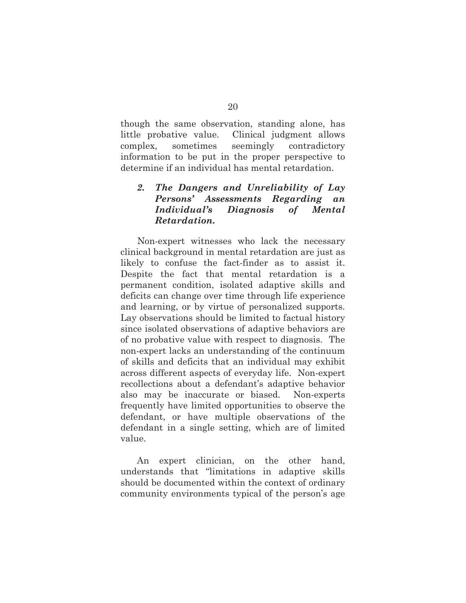though the same observation, standing alone, has little probative value. Clinical judgment allows complex, sometimes seemingly contradictory information to be put in the proper perspective to determine if an individual has mental retardation.

## *2. The Dangers and Unreliability of Lay Persons' Assessments Regarding an Individual's Diagnosis of Mental Retardation.*

Non-expert witnesses who lack the necessary clinical background in mental retardation are just as likely to confuse the fact-finder as to assist it. Despite the fact that mental retardation is a permanent condition, isolated adaptive skills and deficits can change over time through life experience and learning, or by virtue of personalized supports. Lay observations should be limited to factual history since isolated observations of adaptive behaviors are of no probative value with respect to diagnosis. The non-expert lacks an understanding of the continuum of skills and deficits that an individual may exhibit across different aspects of everyday life. Non-expert recollections about a defendant's adaptive behavior also may be inaccurate or biased. Non-experts frequently have limited opportunities to observe the defendant, or have multiple observations of the defendant in a single setting, which are of limited value.

An expert clinician, on the other hand, understands that "limitations in adaptive skills should be documented within the context of ordinary community environments typical of the person's age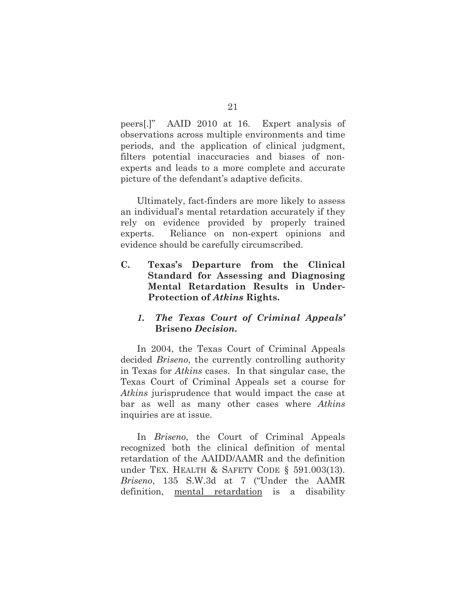peers[.]" AAID 2010 at 16. Expert analysis of observations across multiple environments and time periods, and the application of clinical judgment, filters potential inaccuracies and biases of nonexperts and leads to a more complete and accurate picture of the defendant's adaptive deficits.

Ultimately, fact-finders are more likely to assess an individual's mental retardation accurately if they rely on evidence provided by properly trained experts. Reliance on non-expert opinions and evidence should be carefully circumscribed.

**C. Texas's Departure from the Clinical Standard for Assessing and Diagnosing Mental Retardation Results in Under-Protection of** *Atkins* **Rights.**

### <span id="page-27-0"></span>*1. The Texas Court of Criminal Appeals'*  **Briseno** *Decision.*

In 2004, the Texas Court of Criminal Appeals decided *Briseno*, the currently controlling authority in Texas for *Atkins* cases. In that singular case, the Texas Court of Criminal Appeals set a course for *Atkins* jurisprudence that would impact the case at bar as well as many other cases where *Atkins*  inquiries are at issue.

In *Briseno*, the Court of Criminal Appeals recognized both the clinical definition of mental retardation of the AAIDD/AAMR and the definition under TEX. HEALTH & SAFETY CODE § 591.003(13). *Briseno*, 135 S.W.3d at 7 ("Under the AAMR definition, mental retardation is a disability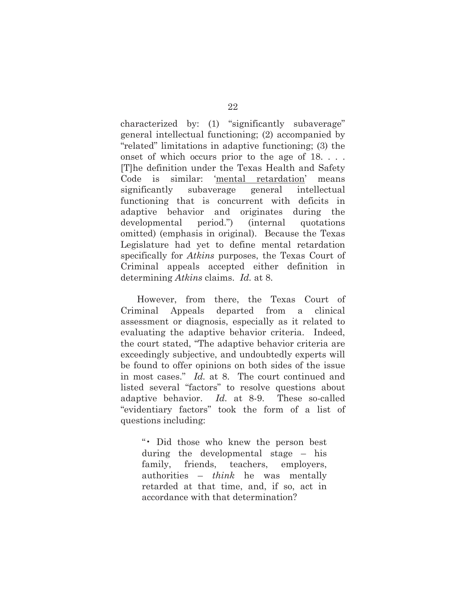characterized by: (1) "significantly subaverage" general intellectual functioning; (2) accompanied by "related" limitations in adaptive functioning; (3) the onset of which occurs prior to the age of 18. . . . [T]he definition under the Texas Health and Safety Code is similar: 'mental retardation' means significantly subaverage general intellectual functioning that is concurrent with deficits in adaptive behavior and originates during the developmental period.") (internal quotations omitted) (emphasis in original). Because the Texas Legislature had yet to define mental retardation specifically for *Atkins* purposes, the Texas Court of Criminal appeals accepted either definition in determining *Atkins* claims. *Id.* at 8.

However, from there, the Texas Court of Criminal Appeals departed from a clinical assessment or diagnosis, especially as it related to evaluating the adaptive behavior criteria. Indeed, the court stated, "The adaptive behavior criteria are exceedingly subjective, and undoubtedly experts will be found to offer opinions on both sides of the issue in most cases." *Id.* at 8. The court continued and listed several "factors" to resolve questions about adaptive behavior. *Id.* at 8-9. These so-called "evidentiary factors" took the form of a list of questions including:

"• Did those who knew the person best during the developmental stage – his family, friends, teachers, employers, authorities – *think* he was mentally retarded at that time, and, if so, act in accordance with that determination?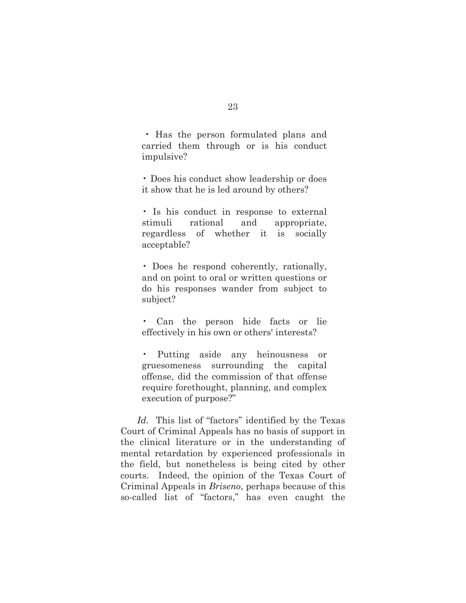• Has the person formulated plans and carried them through or is his conduct impulsive?

• Does his conduct show leadership or does it show that he is led around by others?

• Is his conduct in response to external stimuli rational and appropriate, regardless of whether it is socially acceptable?

• Does he respond coherently, rationally, and on point to oral or written questions or do his responses wander from subject to subject?

• Can the person hide facts or lie effectively in his own or others' interests?

• Putting aside any heinousness or gruesomeness surrounding the capital offense, did the commission of that offense require forethought, planning, and complex execution of purpose?"

*Id.* This list of "factors" identified by the Texas Court of Criminal Appeals has no basis of support in the clinical literature or in the understanding of mental retardation by experienced professionals in the field, but nonetheless is being cited by other courts. Indeed, the opinion of the Texas Court of Criminal Appeals in *Briseno*, perhaps because of this so-called list of "factors," has even caught the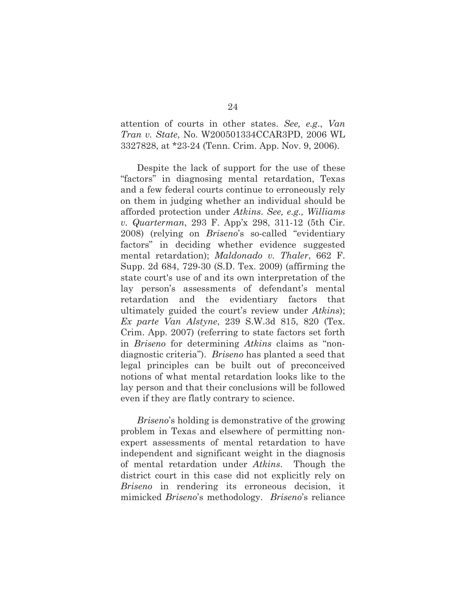attention of courts in other states. *See, e.g*., *Van Tran v. State*, No. W200501334CCAR3PD, 2006 WL 3327828, at \*23-24 (Tenn. Crim. App. Nov. 9, 2006).

Despite the lack of support for the use of these "factors" in diagnosing mental retardation, Texas and a few federal courts continue to erroneously rely on them in judging whether an individual should be afforded protection under *Atkins*. *See, e.g., Williams v. Quarterman*, 293 F. App'x 298, 311-12 (5th Cir. 2008) (relying on *Briseno*'s so-called "evidentiary factors" in deciding whether evidence suggested mental retardation); *Maldonado v. Thaler*, 662 F. Supp. 2d 684, 729-30 (S.D. Tex. 2009) (affirming the state court's use of and its own interpretation of the lay person's assessments of defendant's mental retardation and the evidentiary factors that ultimately guided the court's review under *Atkins*); *Ex parte Van Alstyne*, 239 S.W.3d 815, 820 (Tex. Crim. App. 2007) (referring to state factors set forth in *Briseno* for determining *Atkins* claims as "nondiagnostic criteria"). *Briseno* has planted a seed that legal principles can be built out of preconceived notions of what mental retardation looks like to the lay person and that their conclusions will be followed even if they are flatly contrary to science.

*Briseno*'s holding is demonstrative of the growing problem in Texas and elsewhere of permitting nonexpert assessments of mental retardation to have independent and significant weight in the diagnosis of mental retardation under *Atkins*. Though the district court in this case did not explicitly rely on *Briseno* in rendering its erroneous decision, it mimicked *Briseno*'s methodology. *Briseno*'s reliance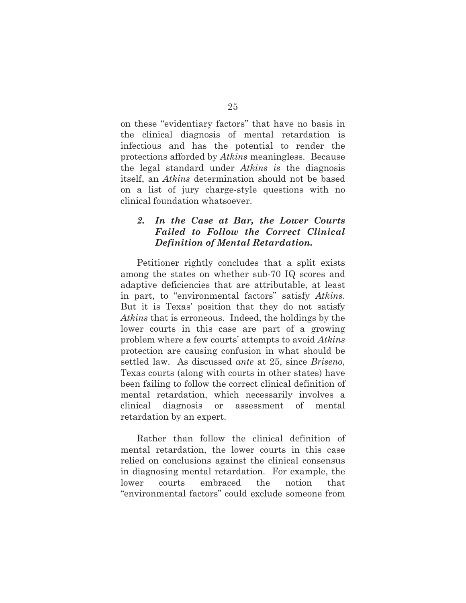on these "evidentiary factors" that have no basis in the clinical diagnosis of mental retardation is infectious and has the potential to render the protections afforded by *Atkins* meaningless. Because the legal standard under *Atkins is* the diagnosis itself, an *Atkins* determination should not be based on a list of jury charge-style questions with no clinical foundation whatsoever.

### *2. In the Case at Bar, the Lower Courts Failed to Follow the Correct Clinical Definition of Mental Retardation.*

Petitioner rightly concludes that a split exists among the states on whether sub-70 IQ scores and adaptive deficiencies that are attributable, at least in part, to "environmental factors" satisfy *Atkins*. But it is Texas' position that they do not satisfy *Atkins* that is erroneous. Indeed, the holdings by the lower courts in this case are part of a growing problem where a few courts' attempts to avoid *Atkins* protection are causing confusion in what should be settled law. As discussed *ante* at 25, since *Briseno*, Texas courts (along with courts in other states) have been failing to follow the correct clinical definition of mental retardation, which necessarily involves a clinical diagnosis or assessment of mental retardation by an expert.

Rather than follow the clinical definition of mental retardation, the lower courts in this case relied on conclusions against the clinical consensus in diagnosing mental retardation. For example, the lower courts embraced the notion that "environmental factors" could exclude someone from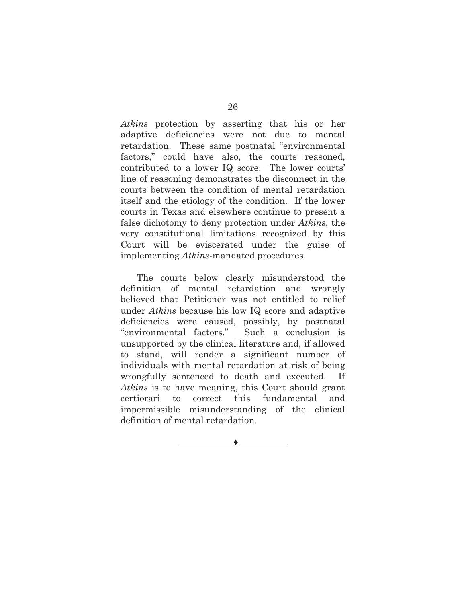*Atkins* protection by asserting that his or her adaptive deficiencies were not due to mental retardation. These same postnatal "environmental factors," could have also, the courts reasoned, contributed to a lower IQ score. The lower courts' line of reasoning demonstrates the disconnect in the courts between the condition of mental retardation itself and the etiology of the condition. If the lower courts in Texas and elsewhere continue to present a false dichotomy to deny protection under *Atkins*, the very constitutional limitations recognized by this Court will be eviscerated under the guise of implementing *Atkins*-mandated procedures.

The courts below clearly misunderstood the definition of mental retardation and wrongly believed that Petitioner was not entitled to relief under *Atkins* because his low IQ score and adaptive deficiencies were caused, possibly, by postnatal "environmental factors." Such a conclusion is unsupported by the clinical literature and, if allowed to stand, will render a significant number of individuals with mental retardation at risk of being wrongfully sentenced to death and executed. If *Atkins* is to have meaning, this Court should grant certiorari to correct this fundamental and impermissible misunderstanding of the clinical definition of mental retardation.

♦